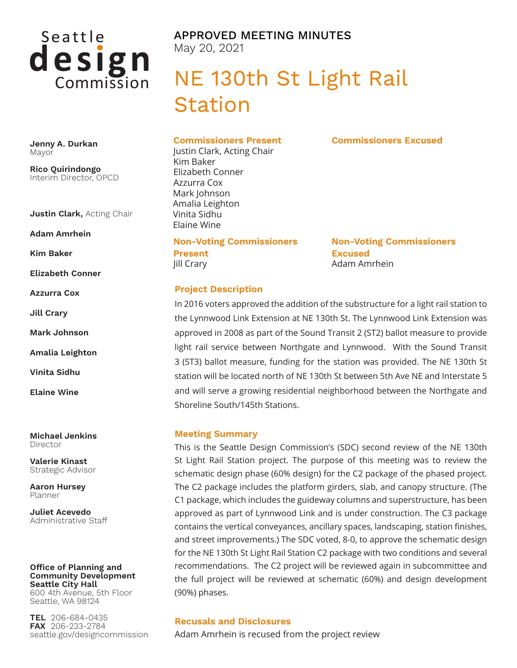

APPROVED MEETING MINUTES May 20, 2021

# NE 130th St Light Rail Station

**Jenny A. Durkan** Mayor

**Rico Quirindongo** Interim Director, OPCD

**Justin Clark,** Acting Chair

**Adam Amrhein**

**Kim Baker**

**Elizabeth Conner**

**Azzurra Cox**

**Jill Crary**

**Mark Johnson**

**Amalia Leighton**

**Vinita Sidhu**

**Elaine Wine**

**Michael Jenkins** Director

**Valerie Kinast** Strategic Advisor

**Aaron Hursey** Planner

**Juliet Acevedo** Administrative Staff

#### **Office of Planning and Community Development Seattle City Hall** 600 4th Avenue, 5th Floor

Seattle, WA 98124

**TEL** 206-684-0435 **FAX** 206-233-2784 seattle.gov/designcommission **Commissioners Present**

Justin Clark, Acting Chair Kim Baker Elizabeth Conner Azzurra Cox Mark Johnson Amalia Leighton Vinita Sidhu Elaine Wine

**Non-Voting Commissioners** 

**Present** Jill Crary

**Non-Voting Commissioners Excused** Adam Amrhein

**Commissioners Excused**

### **Project Description**

In 2016 voters approved the addition of the substructure for a light rail station to the Lynnwood Link Extension at NE 130th St. The Lynnwood Link Extension was approved in 2008 as part of the Sound Transit 2 (ST2) ballot measure to provide light rail service between Northgate and Lynnwood. With the Sound Transit 3 (ST3) ballot measure, funding for the station was provided. The NE 130th St station will be located north of NE 130th St between 5th Ave NE and Interstate 5 and will serve a growing residential neighborhood between the Northgate and Shoreline South/145th Stations.

### **Meeting Summary**

This is the Seattle Design Commission's (SDC) second review of the NE 130th St Light Rail Station project. The purpose of this meeting was to review the schematic design phase (60% design) for the C2 package of the phased project. The C2 package includes the platform girders, slab, and canopy structure. (The C1 package, which includes the guideway columns and superstructure, has been approved as part of Lynnwood Link and is under construction. The C3 package contains the vertical conveyances, ancillary spaces, landscaping, station finishes, and street improvements.) The SDC voted, 8-0, to approve the schematic design for the NE 130th St Light Rail Station C2 package with two conditions and several recommendations. The C2 project will be reviewed again in subcommittee and the full project will be reviewed at schematic (60%) and design development (90%) phases.

### **Recusals and Disclosures**

Adam Amrhein is recused from the project review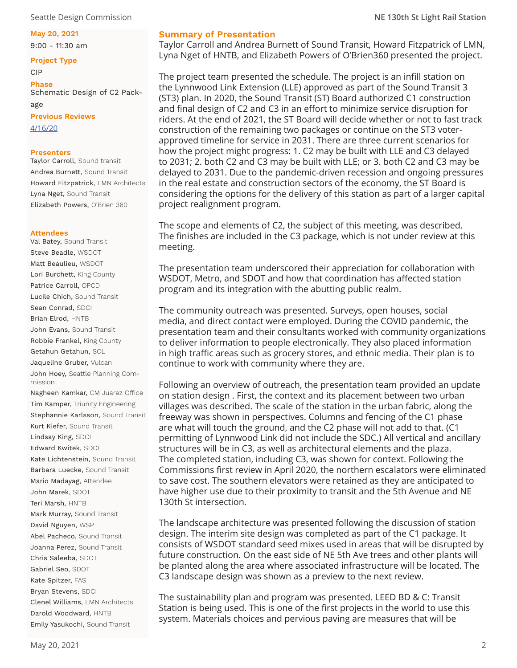### **May 20, 2021**

9:00 - 11:30 am

### **Project Type**

CIP

**Phase** Schematic Design of C2 Pack-

age **Previous Reviews** [4/16/20](https://www.seattle.gov/Documents/Departments/OPCD/DesignCommission/NE130StLightRailStation/SeattleDesignCommission-2020.04.16130thStLightRailStationminutes.pdf)

### **Presenters**

Taylor Carroll, Sound transit Andrea Burnett, Sound Transit Howard Fitzpatrick, LMN Architects Lyna Nget, Sound Transit Elizabeth Powers, O'Brien 360

### **Attendees**

Val Batey, Sound Transit Steve Beadle, WSDOT Matt Beaulieu, WSDOT Lori Burchett, King County Patrice Carroll, OPCD Lucile Chich, Sound Transit Sean Conrad, SDCI Brian Elrod, HNTB John Evans, Sound Transit Robbie Frankel, King County Getahun Getahun, SCL Jaqueline Gruber, Vulcan John Hoey, Seattle Planning Commission Nagheen Kamkar, CM Juarez Office Tim Kamper, Triunity Engineering Stephannie Karlsson, Sound Transit Kurt Kiefer, Sound Transit Lindsay King, SDCI Edward Kwitek, SDCI Kate Lichtenstein, Sound Transit Barbara Luecke, Sound Transit Mario Madayag, Attendee John Marek, SDOT Teri Marsh, HNTB Mark Murray, Sound Transit David Nguyen, WSP Abel Pacheco, Sound Transit Joanna Perez, Sound Transit Chris Saleeba, SDOT Gabriel Seo, SDOT Kate Spitzer, FAS Bryan Stevens, SDCI Clenel Williams, LMN Architects Darold Woodward, HNTB Emily Yasukochi, Sound Transit

Taylor Carroll and Andrea Burnett of Sound Transit, Howard Fitzpatrick of LMN, Lyna Nget of HNTB, and Elizabeth Powers of O'Brien360 presented the project.

The project team presented the schedule. The project is an infill station on the Lynnwood Link Extension (LLE) approved as part of the Sound Transit 3 (ST3) plan. In 2020, the Sound Transit (ST) Board authorized C1 construction and final design of C2 and C3 in an effort to minimize service disruption for riders. At the end of 2021, the ST Board will decide whether or not to fast track construction of the remaining two packages or continue on the ST3 voterapproved timeline for service in 2031. There are three current scenarios for how the project might progress: 1. C2 may be built with LLE and C3 delayed to 2031; 2. both C2 and C3 may be built with LLE; or 3. both C2 and C3 may be delayed to 2031. Due to the pandemic-driven recession and ongoing pressures in the real estate and construction sectors of the economy, the ST Board is considering the options for the delivery of this station as part of a larger capital project realignment program.

The scope and elements of C2, the subject of this meeting, was described. The finishes are included in the C3 package, which is not under review at this meeting.

The presentation team underscored their appreciation for collaboration with WSDOT, Metro, and SDOT and how that coordination has affected station program and its integration with the abutting public realm.

The community outreach was presented. Surveys, open houses, social media, and direct contact were employed. During the COVID pandemic, the presentation team and their consultants worked with community organizations to deliver information to people electronically. They also placed information in high traffic areas such as grocery stores, and ethnic media. Their plan is to continue to work with community where they are.

Following an overview of outreach, the presentation team provided an update on station design . First, the context and its placement between two urban villages was described. The scale of the station in the urban fabric, along the freeway was shown in perspectives. Columns and fencing of the C1 phase are what will touch the ground, and the C2 phase will not add to that. (C1 permitting of Lynnwood Link did not include the SDC.) All vertical and ancillary structures will be in C3, as well as architectural elements and the plaza. The completed station, including C3, was shown for context. Following the Commissions first review in April 2020, the northern escalators were eliminated to save cost. The southern elevators were retained as they are anticipated to have higher use due to their proximity to transit and the 5th Avenue and NE 130th St intersection.

The landscape architecture was presented following the discussion of station design. The interim site design was completed as part of the C1 package. It consists of WSDOT standard seed mixes used in areas that will be disrupted by future construction. On the east side of NE 5th Ave trees and other plants will be planted along the area where associated infrastructure will be located. The C3 landscape design was shown as a preview to the next review.

The sustainability plan and program was presented. LEED BD & C: Transit Station is being used. This is one of the first projects in the world to use this system. Materials choices and pervious paving are measures that will be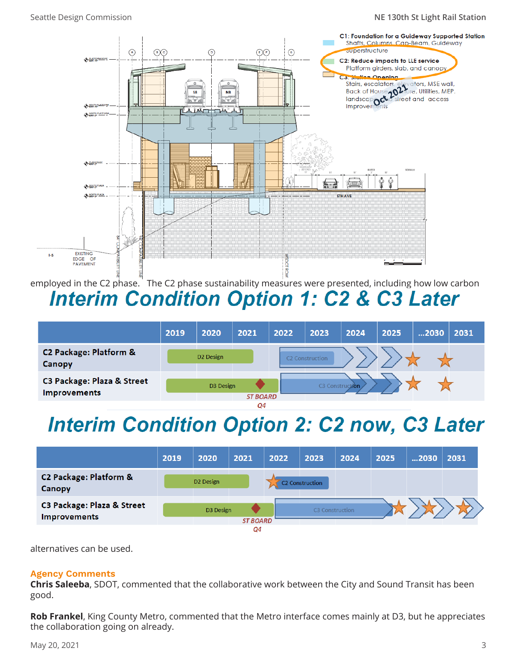### Seattle Design Commission **NE 130th St Light Rail Station**



employed in the C2 phase. The C2 phase sustainability measures were presented, including how low carbon **Interim Condition Option 1: C2 & C3 Later** 

|                                                   | 2019 | 2020                  | 2021              | 2022 | 2023            | 2024 | 2025 | 2030 | 2031 |
|---------------------------------------------------|------|-----------------------|-------------------|------|-----------------|------|------|------|------|
| C2 Package: Platform &<br>Canopy                  |      | D <sub>2</sub> Design |                   |      | 2 Construction  |      |      |      |      |
| C3 Package: Plaza & Street<br><b>Improvements</b> |      | D3 Design             | <b>ST BOARD</b>   |      | C3 Construction |      |      |      |      |
|                                                   |      |                       | $\bigcap_{i=1}^n$ |      |                 |      |      |      |      |

## **Interim Condition Option 2: C2 now, C3 Later**



alternatives can be used.

## **Agency Comments**

**Chris Saleeba**, SDOT, commented that the collaborative work between the City and Sound Transit has been good.

**Rob Frankel**, King County Metro, commented that the Metro interface comes mainly at D3, but he appreciates the collaboration going on already.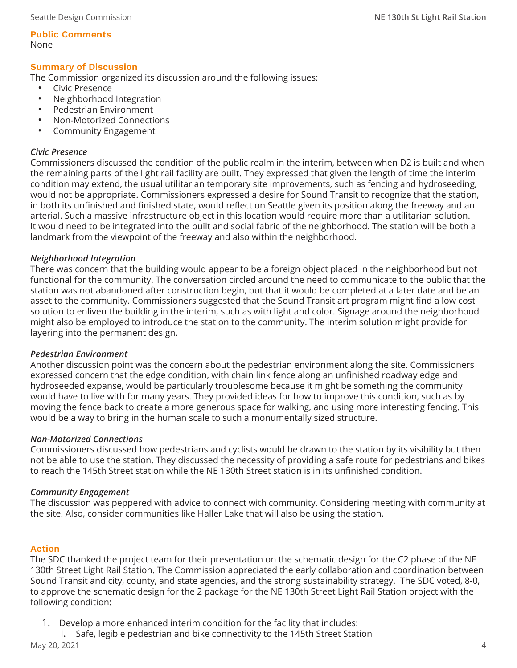**Public Comments**  None

## **Summary of Discussion**

The Commission organized its discussion around the following issues:

- Civic Presence
- Neighborhood Integration
- Pedestrian Environment
- Non-Motorized Connections
- Community Engagement

## *Civic Presence*

Commissioners discussed the condition of the public realm in the interim, between when D2 is built and when the remaining parts of the light rail facility are built. They expressed that given the length of time the interim condition may extend, the usual utilitarian temporary site improvements, such as fencing and hydroseeding, would not be appropriate. Commissioners expressed a desire for Sound Transit to recognize that the station, in both its unfinished and finished state, would reflect on Seattle given its position along the freeway and an arterial. Such a massive infrastructure object in this location would require more than a utilitarian solution. It would need to be integrated into the built and social fabric of the neighborhood. The station will be both a landmark from the viewpoint of the freeway and also within the neighborhood.

## *Neighborhood Integration*

There was concern that the building would appear to be a foreign object placed in the neighborhood but not functional for the community. The conversation circled around the need to communicate to the public that the station was not abandoned after construction begin, but that it would be completed at a later date and be an asset to the community. Commissioners suggested that the Sound Transit art program might find a low cost solution to enliven the building in the interim, such as with light and color. Signage around the neighborhood might also be employed to introduce the station to the community. The interim solution might provide for layering into the permanent design.

## *Pedestrian Environment*

Another discussion point was the concern about the pedestrian environment along the site. Commissioners expressed concern that the edge condition, with chain link fence along an unfinished roadway edge and hydroseeded expanse, would be particularly troublesome because it might be something the community would have to live with for many years. They provided ideas for how to improve this condition, such as by moving the fence back to create a more generous space for walking, and using more interesting fencing. This would be a way to bring in the human scale to such a monumentally sized structure.

## *Non-Motorized Connections*

Commissioners discussed how pedestrians and cyclists would be drawn to the station by its visibility but then not be able to use the station. They discussed the necessity of providing a safe route for pedestrians and bikes to reach the 145th Street station while the NE 130th Street station is in its unfinished condition.

## *Community Engagement*

The discussion was peppered with advice to connect with community. Considering meeting with community at the site. Also, consider communities like Haller Lake that will also be using the station.

## **Action**

The SDC thanked the project team for their presentation on the schematic design for the C2 phase of the NE 130th Street Light Rail Station. The Commission appreciated the early collaboration and coordination between Sound Transit and city, county, and state agencies, and the strong sustainability strategy. The SDC voted, 8-0, to approve the schematic design for the 2 package for the NE 130th Street Light Rail Station project with the following condition:

- 1. Develop a more enhanced interim condition for the facility that includes:
- May 20, 2021 i. Safe, legible pedestrian and bike connectivity to the 145th Street Station